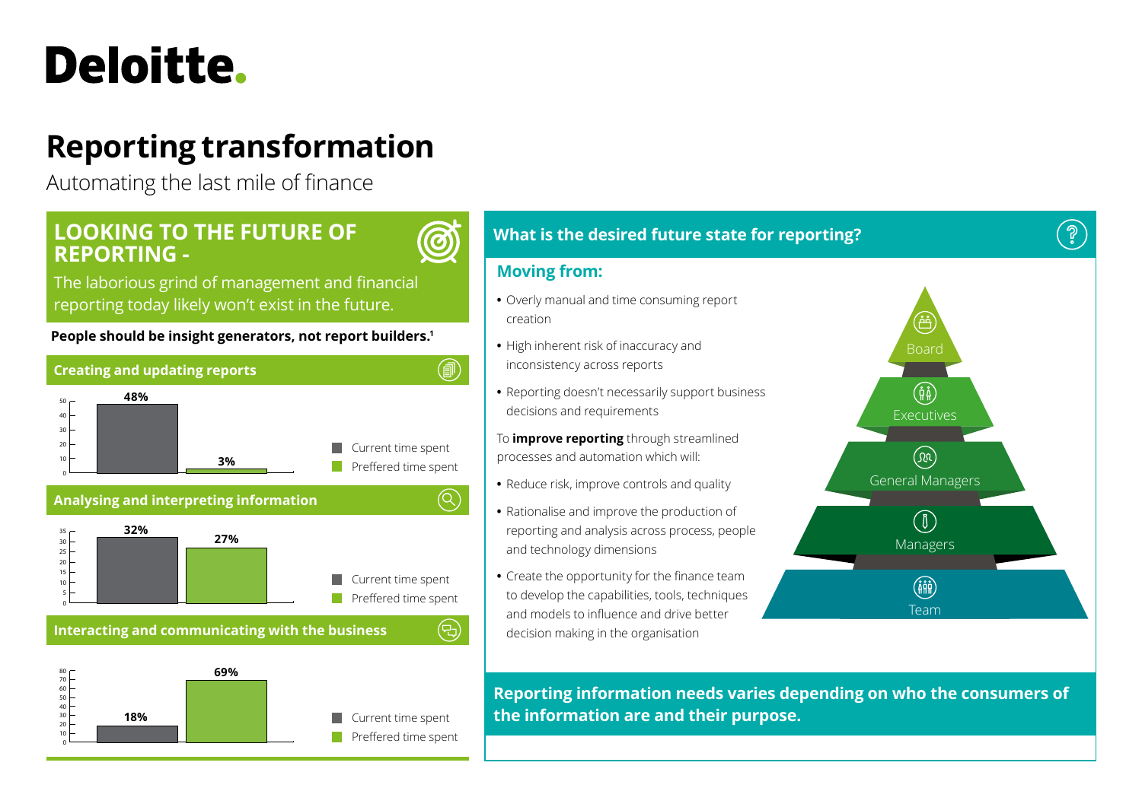# Deloitte.

## **Reporting transformation**

Automating the last mile of finance

### **LOOKING TO THE FUTURE OF REPORTING -**

 $\bm{\bm{\odot}}$ 

(뭐

The laborious grind of management and financial reporting today likely won't exist in the future.

#### **People should be insight generators, not report builders.1**





**Interacting and communicating with the business**



#### **What is the desired future state for reporting?**

#### **Moving from:**

- **•** Overly manual and time consuming report creation
- **•** High inherent risk of inaccuracy and inconsistency across reports
- **•** Reporting doesn't necessarily support business decisions and requirements
- To **improve reporting** through streamlined processes and automation which will:
- **•** Reduce risk, improve controls and quality
- **•** Rationalise and improve the production of reporting and analysis across process, people and technology dimensions
- **•** Create the opportunity for the finance team to develop the capabilities, tools, techniques and models to influence and drive better decision making in the organisation



ႜၜၟႝ

**Reporting information needs varies depending on who the consumers of the information are and their purpose.**